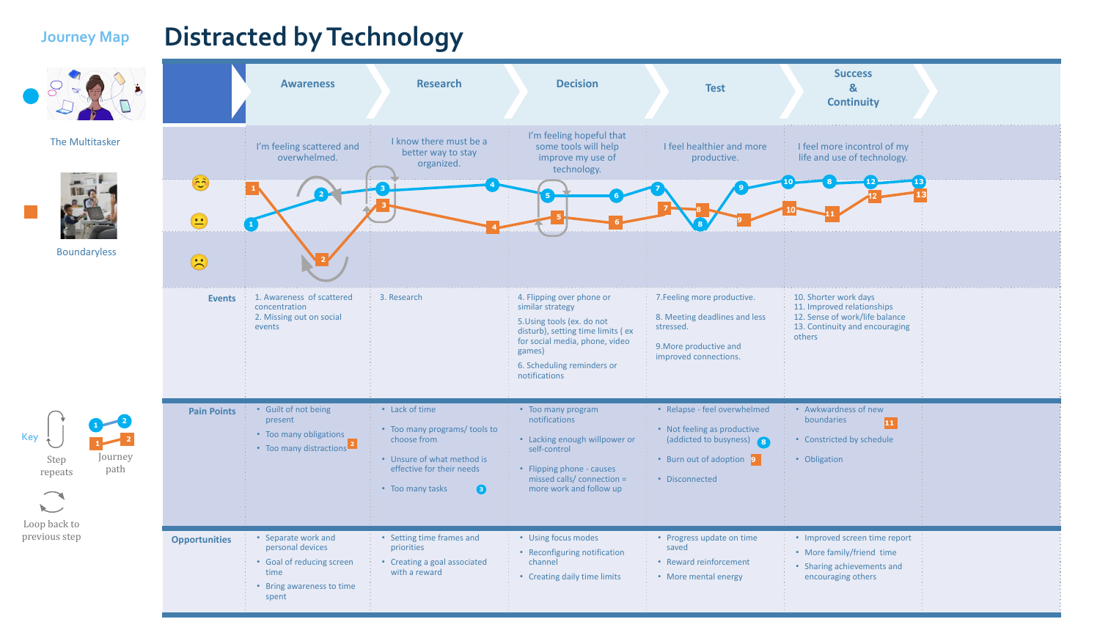**Key**

## **Journey Map Distracted by Technology**